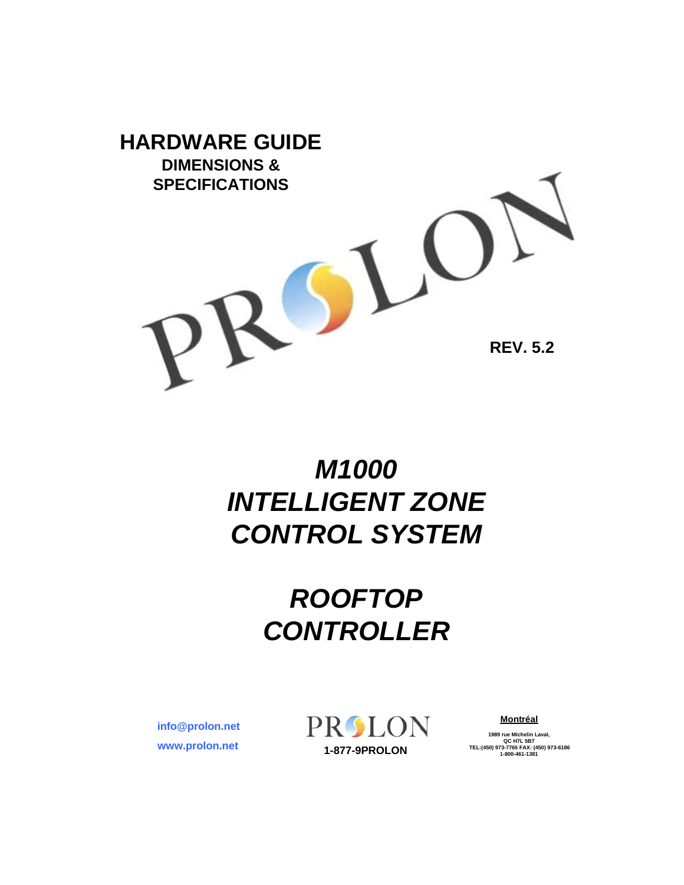

# *M1000 INTELLIGENT ZONE CONTROL SYSTEM*

# *ROOFTOP CONTROLLER*

**www.prolon.net info@prolon.net** PROLON

**Montréal**

**1989 rue Michelin Laval,**<br> **20 AT 1989 rue Michelin Laval,**<br> **1-877-9PROLON 1-800-461-1381 1-800-461-1381**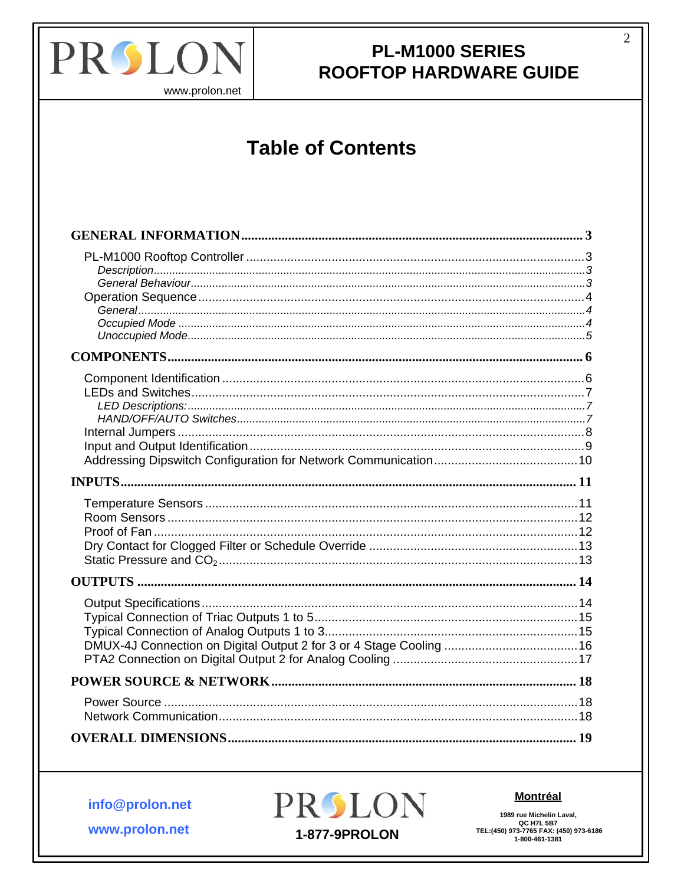

www.prolon.net

# **Table of Contents**

info@prolon.net

www.prolon.net



#### **Montréal**

1989 rue Michelin Laval, 1909 THE MICHIGAT CAN CONTRA STREE:<br>CC H7L 5B7<br>TEL:(450) 973-7765 FAX: (450) 973-6186<br>1-800-461-1381  $\overline{2}$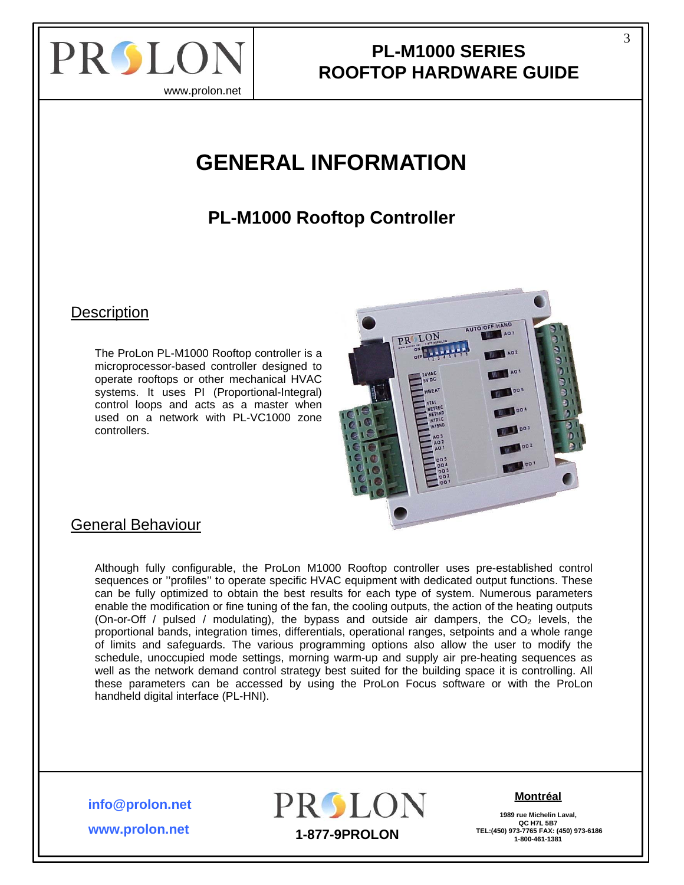<span id="page-2-0"></span>

www.prolon.net

# **GENERAL INFORMATION**

## **PL-M1000 Rooftop Controller**

**Description** 

The ProLon PL-M1000 Rooftop controller is a microprocessor-based controller designed to operate rooftops or other mechanical HVAC systems. It uses PI (Proportional-Integral) control loops and acts as a master when used on a network with PL-VC1000 zone controllers.



### General Behaviour

Although fully configurable, the ProLon M1000 Rooftop controller uses pre-established control sequences or ''profiles'' to operate specific HVAC equipment with dedicated output functions. These can be fully optimized to obtain the best results for each type of system. Numerous parameters enable the modification or fine tuning of the fan, the cooling outputs, the action of the heating outputs (On-or-Off / pulsed / modulating), the bypass and outside air dampers, the  $CO<sub>2</sub>$  levels, the proportional bands, integration times, differentials, operational ranges, setpoints and a whole range of limits and safeguards. The various programming options also allow the user to modify the schedule, unoccupied mode settings, morning warm-up and supply air pre-heating sequences as well as the network demand control strategy best suited for the building space it is controlling. All these parameters can be accessed by using the ProLon Focus software or with the ProLon handheld digital interface (PL-HNI).

**info@prolon.net**

**www.prolon.net**



#### **Montréal**

**1989 rue Michelin Laval, QC H7L 5B7**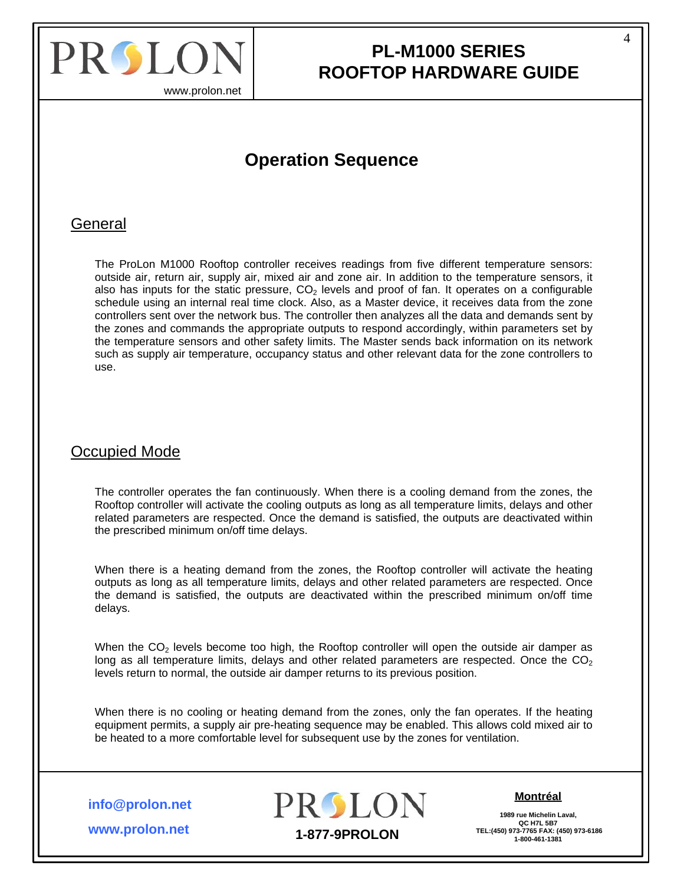<span id="page-3-0"></span>

4

www.prolon.net

## **Operation Sequence**

### General

The ProLon M1000 Rooftop controller receives readings from five different temperature sensors: outside air, return air, supply air, mixed air and zone air. In addition to the temperature sensors, it also has inputs for the static pressure,  $CO<sub>2</sub>$  levels and proof of fan. It operates on a configurable schedule using an internal real time clock. Also, as a Master device, it receives data from the zone controllers sent over the network bus. The controller then analyzes all the data and demands sent by the zones and commands the appropriate outputs to respond accordingly, within parameters set by the temperature sensors and other safety limits. The Master sends back information on its network such as supply air temperature, occupancy status and other relevant data for the zone controllers to use.

### Occupied Mode

The controller operates the fan continuously. When there is a cooling demand from the zones, the Rooftop controller will activate the cooling outputs as long as all temperature limits, delays and other related parameters are respected. Once the demand is satisfied, the outputs are deactivated within the prescribed minimum on/off time delays.

When there is a heating demand from the zones, the Rooftop controller will activate the heating outputs as long as all temperature limits, delays and other related parameters are respected. Once the demand is satisfied, the outputs are deactivated within the prescribed minimum on/off time delays.

When the  $CO<sub>2</sub>$  levels become too high, the Rooftop controller will open the outside air damper as long as all temperature limits, delays and other related parameters are respected. Once the  $CO<sub>2</sub>$ levels return to normal, the outside air damper returns to its previous position.

When there is no cooling or heating demand from the zones, only the fan operates. If the heating equipment permits, a supply air pre-heating sequence may be enabled. This allows cold mixed air to be heated to a more comfortable level for subsequent use by the zones for ventilation.

**info@prolon.net**



#### **Montréal**

**1989 rue Michelin Laval,** QC H7L 5B7<br>TEL:(450) 973-7765 FAX: (450) 973-6186

**www.prolon.net**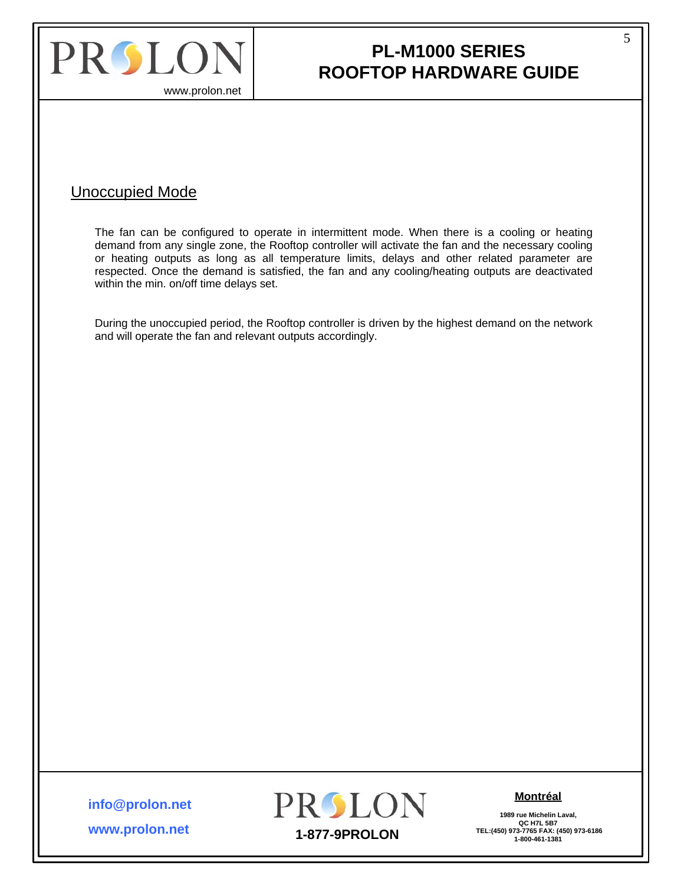<span id="page-4-0"></span>

## **PL-M1000 SERIES ROOFTOP HARDWARE GUIDE**

### Unoccupied Mode

The fan can be configured to operate in intermittent mode. When there is a cooling or heating demand from any single zone, the Rooftop controller will activate the fan and the necessary cooling or heating outputs as long as all temperature limits, delays and other related parameter are respected. Once the demand is satisfied, the fan and any cooling/heating outputs are deactivated within the min. on/off time delays set.

During the unoccupied period, the Rooftop controller is driven by the highest demand on the network and will operate the fan and relevant outputs accordingly.

**info@prolon.net**

**www.prolon.net**



**Montréal**

**1989 rue Michelin Laval, QC H7L 5B7**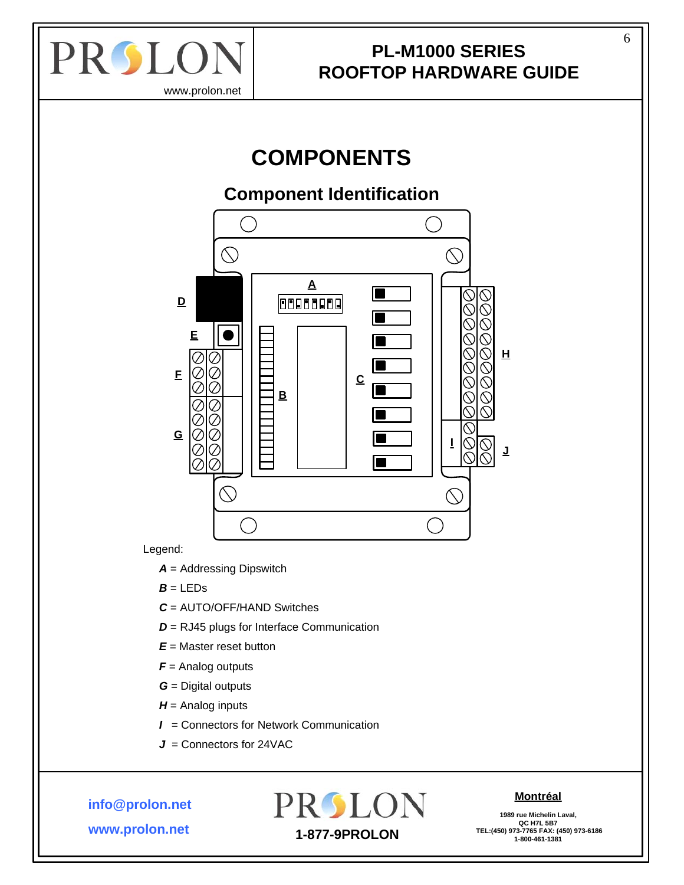<span id="page-5-0"></span>

# **COMPONENTS**

### **Component Identification**



Legend:

*A* = Addressing Dipswitch

- $B = LEDs$
- *C* = AUTO/OFF/HAND Switches
- *D* = RJ45 plugs for Interface Communication
- *E* = Master reset button
- *F* = Analog outputs
- *G* = Digital outputs
- *H* = Analog inputs
- *I* = Connectors for Network Communication
- *J* = Connectors for 24VAC

**info@prolon.net**

**www.prolon.net**

# PROLON  **TEL:(450) 973-7765 FAX: (450) 973-6186 1-877-9PROLON 1-800-461-1381**

#### **Montréal**

**1989 rue Michelin Laval, QC H7L 5B7**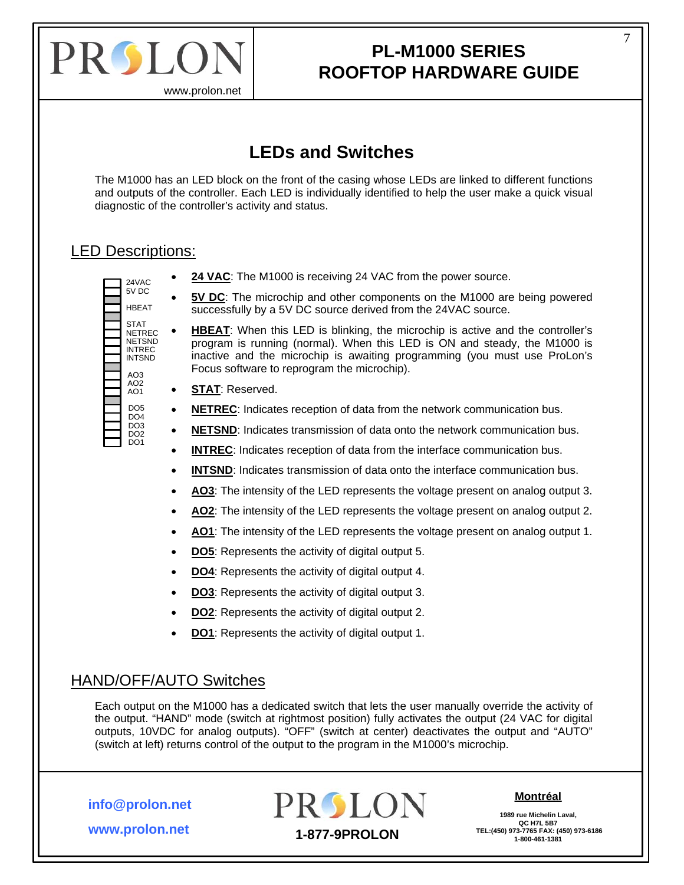<span id="page-6-0"></span>

7

www.prolon.net

## **LEDs and Switches**

The M1000 has an LED block on the front of the casing whose LEDs are linked to different functions and outputs of the controller. Each LED is individually identified to help the user make a quick visual diagnostic of the controller's activity and status.

### LED Descriptions:

5V DC HBEAT **STAT** NETREC NETSND INTREC INTSND AO3 AO2 AO1 DO5  $DO4$ DO3 DO2 D<sub>O1</sub>

- $_{24\text{VAC}}$   $\bullet$  **24 VAC**: The M1000 is receiving 24 VAC from the power source.
	- **5V DC**: The microchip and other components on the M1000 are being powered successfully by a 5V DC source derived from the 24VAC source.
	- **HBEAT:** When this LED is blinking, the microchip is active and the controller's program is running (normal). When this LED is ON and steady, the M1000 is inactive and the microchip is awaiting programming (you must use ProLon's Focus software to reprogram the microchip).
	- **STAT**: Reserved.
	- **NETREC**: Indicates reception of data from the network communication bus.
	- **NETSND**: Indicates transmission of data onto the network communication bus.
	- **INTREC**: Indicates reception of data from the interface communication bus.
	- **INTSND**: Indicates transmission of data onto the interface communication bus.
	- **AO3**: The intensity of the LED represents the voltage present on analog output 3.
	- **AO2**: The intensity of the LED represents the voltage present on analog output 2.
	- **AO1**: The intensity of the LED represents the voltage present on analog output 1.
	- **DO5**: Represents the activity of digital output 5.
	- **DO4**: Represents the activity of digital output 4.
	- **DO3**: Represents the activity of digital output 3.
	- **DO2**: Represents the activity of digital output 2.
	- **DO1**: Represents the activity of digital output 1.

### HAND/OFF/AUTO Switches

Each output on the M1000 has a dedicated switch that lets the user manually override the activity of the output. "HAND" mode (switch at rightmost position) fully activates the output (24 VAC for digital outputs, 10VDC for analog outputs). "OFF" (switch at center) deactivates the output and "AUTO" (switch at left) returns control of the output to the program in the M1000's microchip.

**info@prolon.net**



### **Montréal**

**1989 rue Michelin Laval,** QC H7L 5B7<br>TEL:(450) 973-7765 FAX: (450) 973-6186

**www.prolon.net**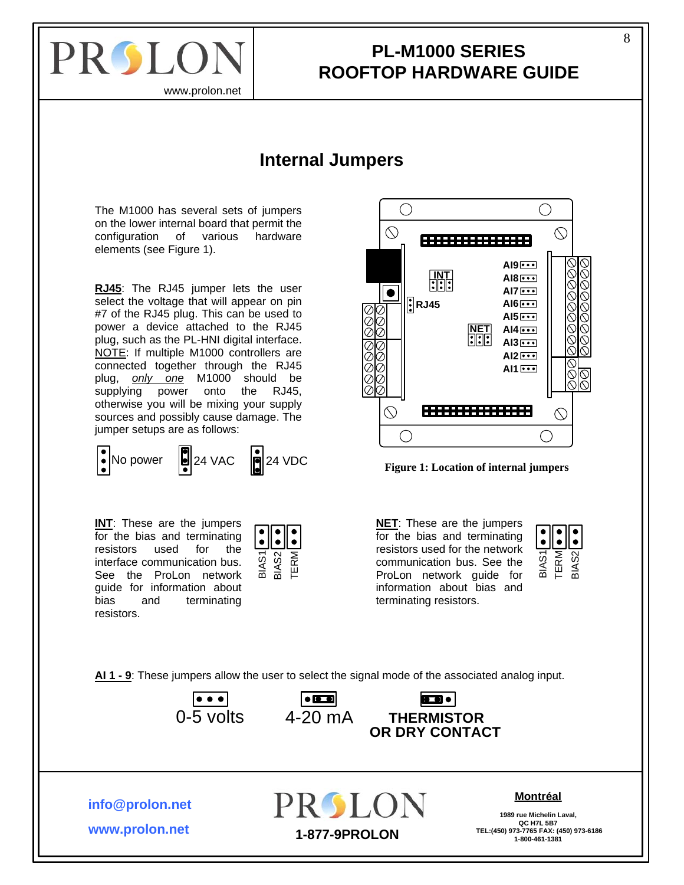<span id="page-7-0"></span>

### **PL-M1000 SERIES ROOFTOP HARDWARE GUIDE**

### **Internal Jumpers**

<span id="page-7-1"></span>The M1000 has several sets of jumpers on the lower internal board that permit the configuration of various hardware elements (see Figure 1).

**RJ45**: The RJ45 jumper lets the user select the voltage that will appear on pin #7 of the RJ45 plug. This can be used to power a device attached to the RJ45 plug, such as the PL-HNI digital interface. NOTE: If multiple M1000 controllers are connected together through the RJ45 plug, *only one* M1000 should be supplying power onto the RJ45, otherwise you will be mixing your supply sources and possibly cause damage. The jumper setups are as follows:

**INT:** These are the jumpers for the bias and terminating resistors used for the interface communication bus. See the ProLon network guide for information about bias and terminating resistors.

**www.prolon.net**

**info@prolon.net**







**NET**: These are the jumpers for the bias and terminating resistors used for the network communication bus. See the ProLon network guide for information about bias and terminating resistors.



**AI 1 - 9**: These jumpers allow the user to select the signal mode of the associated analog input.





**PROLON** 

 $\vert\text{CD} \bullet \vert$ 

#### **Montréal**

**1989 rue Michelin Laval, QC H7L 5B7 TEL:(450) 973-7765 FAX: (450) 973-6186 1-877-9PROLON 1-800-461-1381**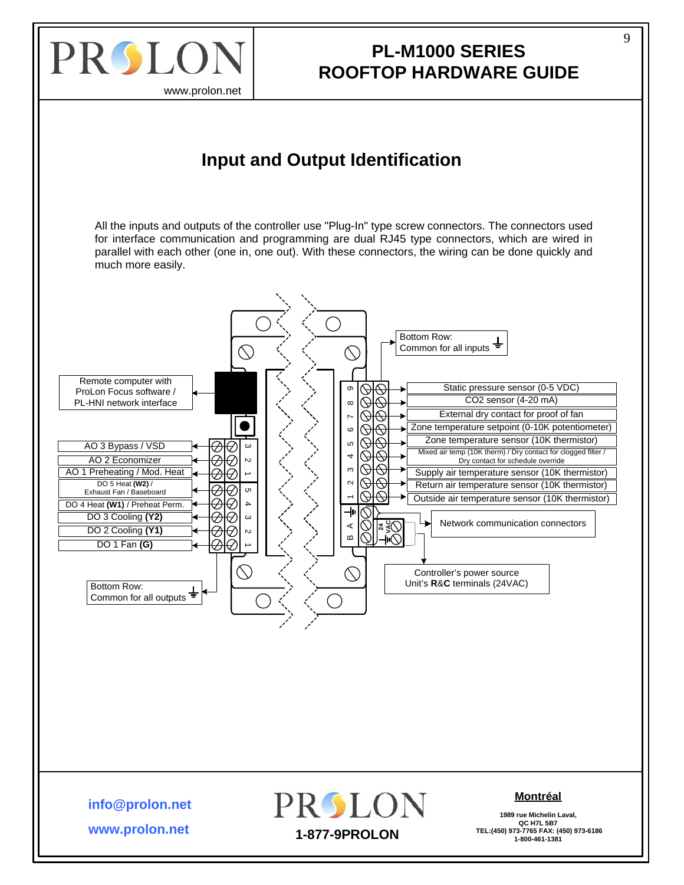<span id="page-8-0"></span>

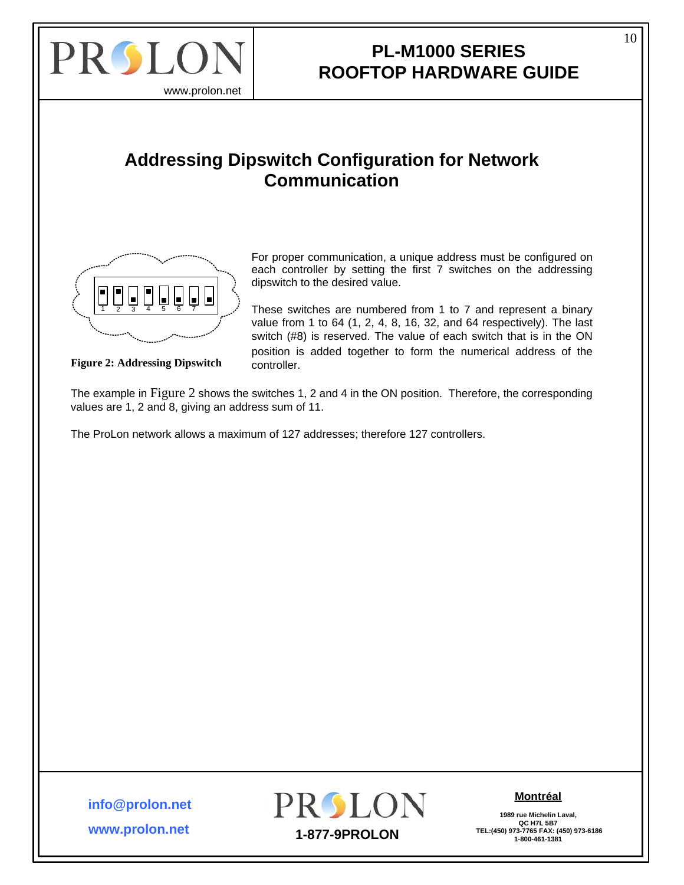<span id="page-9-0"></span>

### **PL-M1000 SERIES ROOFTOP HARDWARE GUIDE**

### **Addressing Dipswitch Configuration for Network Communication**



For proper communication, a unique address must be configured on each controller by setting the first 7 switches on the addressing dipswitch to the desired value.

 $\sqrt{\frac{1}{2} \ln \frac{1}{2}}$  ) These switches are numbered from 1 to 7 and represent a binary value from 1 to 64 (1, 2, 4, 8, 16, 32, and 64 respectively). The last switch (#8) is reserved. The value of each switch that is in the ON position is added together to form the numerical address of the

**Figure 2: Addressing Dipswitch** controller.

The example in Figure 2 shows the switches 1, 2 and 4 in the ON position. Therefore, the corresponding values are 1, 2 and 8, giving an address sum of 11.

The ProLon network allows a maximum of 127 addresses; therefore 127 controllers.

**www.prolon.net info@prolon.net**



### **Montréal**

**1989 rue Michelin Laval, QC H7L 5B7**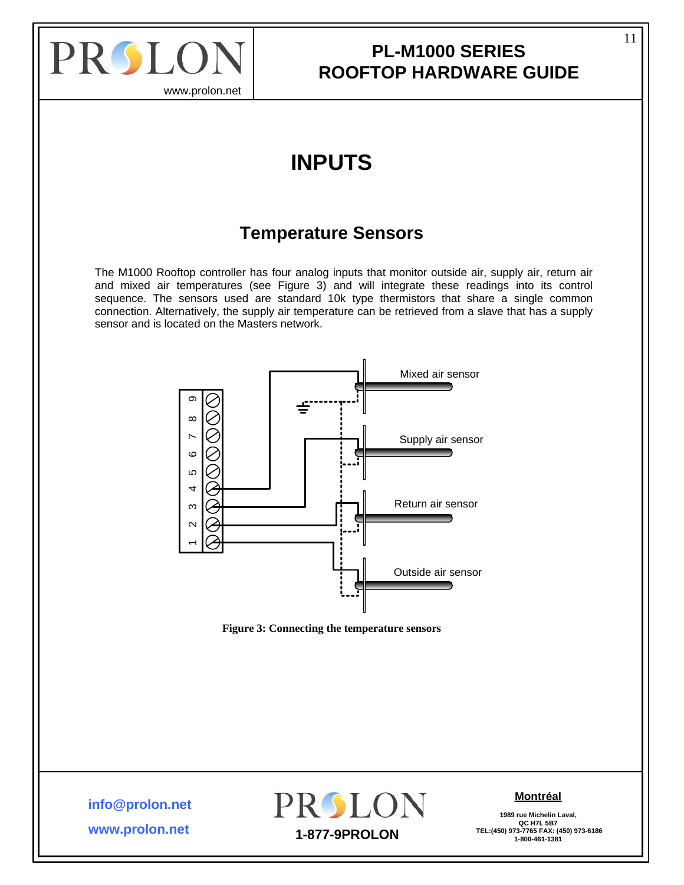<span id="page-10-0"></span>

www.prolon.net

# **INPUTS**

### **Temperature Sensors**

The M1000 Rooftop controller has four analog inputs that monitor outside air, supply air, return air and mixed air temperatures (see [Figure 3](#page-10-1)) and will integrate these readings into its control sequence. The sensors used are standard 10k type thermistors that share a single common connection. Alternatively, the supply air temperature can be retrieved from a slave that has a supply sensor and is located on the Masters network.



**Figure 3: Connecting the temperature sensors** 

<span id="page-10-1"></span>**info@prolon.net**

**www.prolon.net**



### **Montréal**

**1989 rue Michelin Laval, QC H7L 5B7**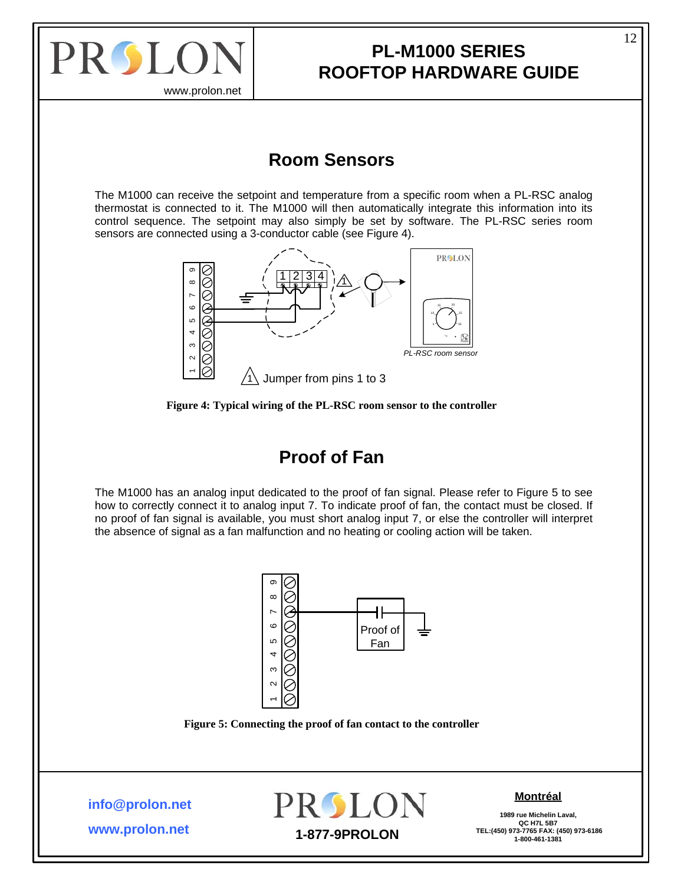<span id="page-11-0"></span>

www.prolon.net

### **Room Sensors**

The M1000 can receive the setpoint and temperature from a specific room when a PL-RSC analog thermostat is connected to it. The M1000 will then automatically integrate this information into its control sequence. The setpoint may also simply be set by software. The PL-RSC series room sensors are connected using a 3-conductor cable (see [Figure 4](#page-11-1)).



**Figure 4: Typical wiring of the PL-RSC room sensor to the controller** 

### **Proof of Fan**

<span id="page-11-1"></span>The M1000 has an analog input dedicated to the proof of fan signal. Please refer to [Figure 5](#page-11-2) to see how to correctly connect it to analog input 7. To indicate proof of fan, the contact must be closed. If no proof of fan signal is available, you must short analog input 7, or else the controller will interpret the absence of signal as a fan malfunction and no heating or cooling action will be taken.





<span id="page-11-2"></span>**info@prolon.net**

**www.prolon.net**



### **Montréal**

**1989 rue Michelin Laval, QC H7L 5B7**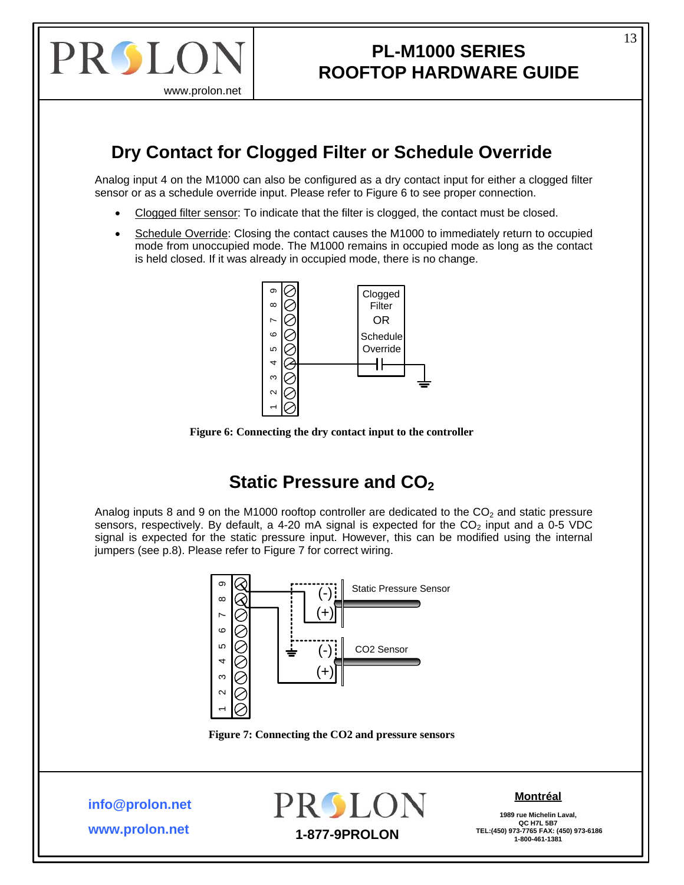<span id="page-12-0"></span>

## **PL-M1000 SERIES ROOFTOP HARDWARE GUIDE**

# **Dry Contact for Clogged Filter or Schedule Override**

Analog input 4 on the M1000 can also be configured as a dry contact input for either a clogged filter sensor or as a schedule override input. Please refer to [Figure 6](#page-12-1) to see proper connection.

- Clogged filter sensor: To indicate that the filter is clogged, the contact must be closed.
- Schedule Override: Closing the contact causes the M1000 to immediately return to occupied mode from unoccupied mode. The M1000 remains in occupied mode as long as the contact is held closed. If it was already in occupied mode, there is no change.



**Figure 6: Connecting the dry contact input to the controller** 

## **Static Pressure and CO<sub>2</sub>**

<span id="page-12-1"></span>Analog inputs 8 and 9 on the M1000 rooftop controller are dedicated to the  $CO<sub>2</sub>$  and static pressure sensors, respectively. By default, a 4-20 mA signal is expected for the  $CO<sub>2</sub>$  input and a 0-5 VDC signal is expected for the static pressure input. However, this can be modified using the internal jumpers (see p.[8](#page-7-1)). Please refer to [Figure 7](#page-12-2) for correct wiring.



**Figure 7: Connecting the CO2 and pressure sensors** 

<span id="page-12-2"></span>**info@prolon.net**

**www.prolon.net**



### **Montréal**

**1989 rue Michelin Laval,** QC H7L 5B7<br>TEL:(450) 973-7765 FAX: (450) 973-6186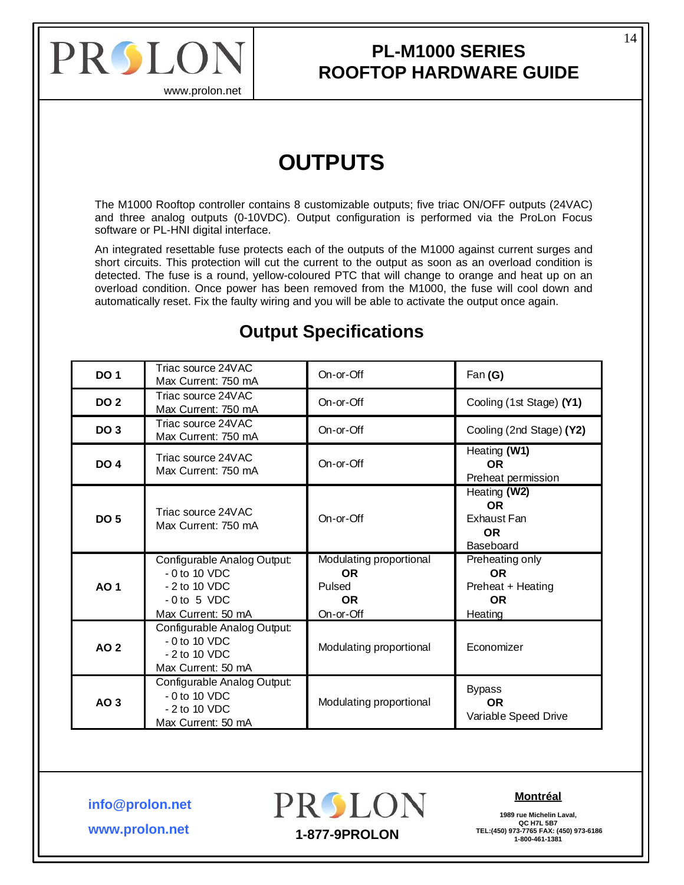<span id="page-13-0"></span>

### **PL-M1000 SERIES ROOFTOP HARDWARE GUIDE**

# **OUTPUTS**

The M1000 Rooftop controller contains 8 customizable outputs; five triac ON/OFF outputs (24VAC) and three analog outputs (0-10VDC). Output configuration is performed via the ProLon Focus software or PL-HNI digital interface.

An integrated resettable fuse protects each of the outputs of the M1000 against current surges and short circuits. This protection will cut the current to the output as soon as an overload condition is detected. The fuse is a round, yellow-coloured PTC that will change to orange and heat up on an overload condition. Once power has been removed from the M1000, the fuse will cool down and automatically reset. Fix the faulty wiring and you will be able to activate the output once again.

| <b>DO 1</b>     | Triac source 24VAC<br>Max Current: 750 mA                                                             | On-or-Off                                                                | Fan (G)                                                                   |
|-----------------|-------------------------------------------------------------------------------------------------------|--------------------------------------------------------------------------|---------------------------------------------------------------------------|
| <b>DO 2</b>     | Triac source 24VAC<br>Max Current: 750 mA                                                             | On-or-Off                                                                | Cooling (1st Stage) (Y1)                                                  |
| DO <sub>3</sub> | Triac source 24VAC<br>Max Current: 750 mA                                                             | On-or-Off                                                                | Cooling (2nd Stage) (Y2)                                                  |
| DO <sub>4</sub> | Triac source 24VAC<br>Max Current: 750 mA                                                             | On-or-Off                                                                | Heating (W1)<br><b>OR</b><br>Preheat permission                           |
| <b>DO 5</b>     | Triac source 24VAC<br>Max Current: 750 mA                                                             | On-or-Off                                                                | Heating (W2)<br><b>OR</b><br>Exhaust Fan<br><b>OR</b><br>Baseboard        |
| <b>AO1</b>      | Configurable Analog Output:<br>$-0$ to 10 VDC<br>- 2 to 10 VDC<br>$-0$ to 5 VDC<br>Max Current: 50 mA | Modulating proportional<br><b>OR</b><br>Pulsed<br><b>OR</b><br>On-or-Off | Preheating only<br><b>OR</b><br>Preheat + Heating<br><b>OR</b><br>Heating |
| <b>AO 2</b>     | Configurable Analog Output:<br>$-0$ to 10 VDC<br>$-2$ to 10 VDC<br>Max Current: 50 mA                 | Modulating proportional                                                  | Economizer                                                                |
| AO 3            | Configurable Analog Output:<br>$-0$ to 10 VDC<br>$-2$ to 10 VDC<br>Max Current: 50 mA                 | Modulating proportional                                                  | <b>Bypass</b><br><b>OR</b><br>Variable Speed Drive                        |

## **Output Specifications**

**info@prolon.net**



#### **Montréal**

**1989 rue Michelin Laval, QC H7L 5B7 TEL:(450) 973-7765 FAX: (450) 973-6186 1-877-9PROLON 1-800-461-1381** 14

**www.prolon.net**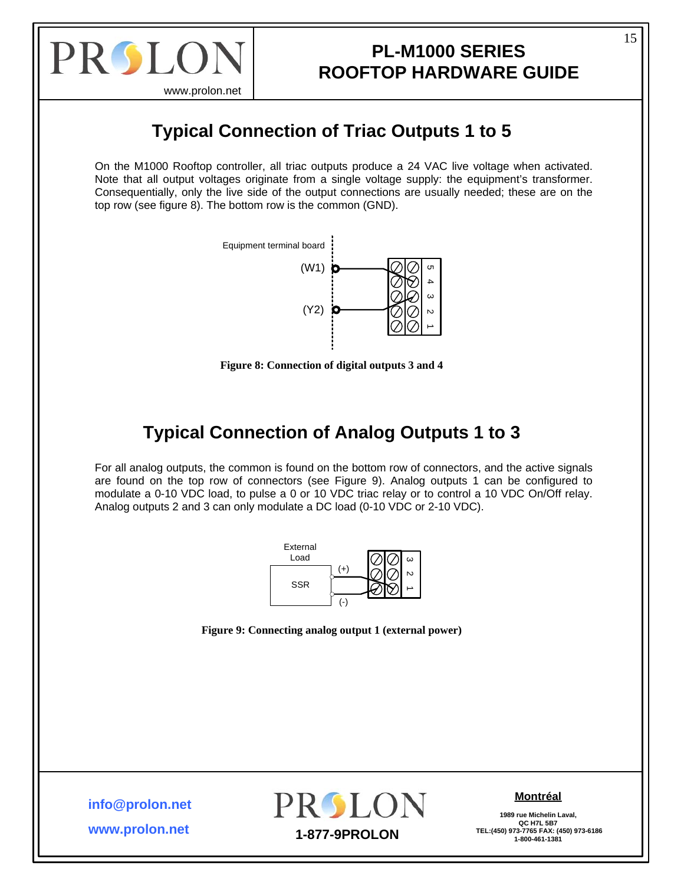<span id="page-14-0"></span>

www.prolon.net

# **Typical Connection of Triac Outputs 1 to 5**

On the M1000 Rooftop controller, all triac outputs produce a 24 VAC live voltage when activated. Note that all output voltages originate from a single voltage supply: the equipment's transformer. Consequentially, only the live side of the output connections are usually needed; these are on the top row (see figure 8). The bottom row is the common (GND).



**Figure 8: Connection of digital outputs 3 and 4** 

# **Typical Connection of Analog Outputs 1 to 3**

For all analog outputs, the common is found on the bottom row of connectors, and the active signals are found on the top row of connectors (see Figure 9). Analog outputs 1 can be configured to modulate a 0-10 VDC load, to pulse a 0 or 10 VDC triac relay or to control a 10 VDC On/Off relay. Analog outputs 2 and 3 can only modulate a DC load (0-10 VDC or 2-10 VDC).



**Figure 9: Connecting analog output 1 (external power)** 

**info@prolon.net**

**www.prolon.net**



### **Montréal**

**1989 rue Michelin Laval, QC H7L 5B7**<br>**QC H7L 5B7**<br>TEL:(450) 973-7765 FAX: (450) 973-6186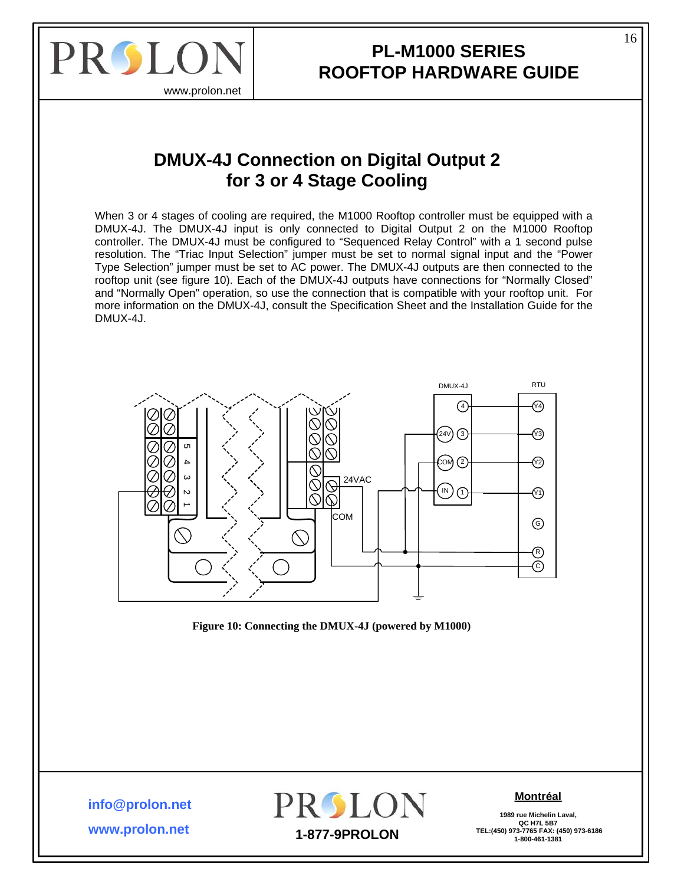<span id="page-15-0"></span>

### **PL-M1000 SERIES ROOFTOP HARDWARE GUIDE**

### **DMUX-4J Connection on Digital Output 2 for 3 or 4 Stage Cooling**

When 3 or 4 stages of cooling are required, the M1000 Rooftop controller must be equipped with a DMUX-4J. The DMUX-4J input is only connected to Digital Output 2 on the M1000 Rooftop controller. The DMUX-4J must be configured to "Sequenced Relay Control" with a 1 second pulse resolution. The "Triac Input Selection" jumper must be set to normal signal input and the "Power Type Selection" jumper must be set to AC power. The DMUX-4J outputs are then connected to the rooftop unit (see figure 10). Each of the DMUX-4J outputs have connections for "Normally Closed" and "Normally Open" operation, so use the connection that is compatible with your rooftop unit. For more information on the DMUX-4J, consult the Specification Sheet and the Installation Guide for the DMUX-4J.





**info@prolon.net**

**www.prolon.net**



#### **Montréal**

**1989 rue Michelin Laval, QC H7L 5B7 TEL:(450) 973-7765 FAX: (450) 973-6186 1-877-9PROLON 1-800-461-1381**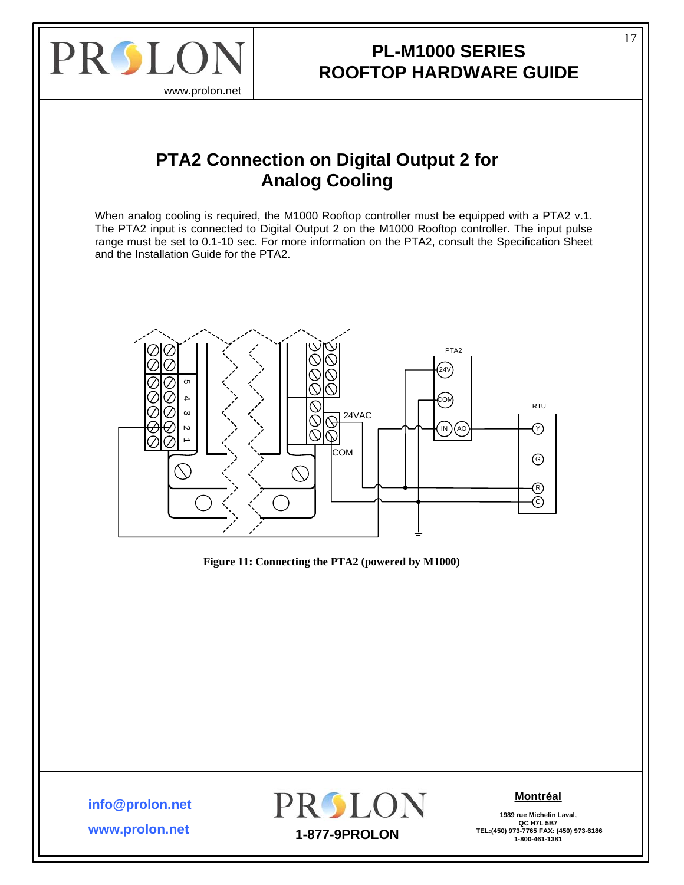<span id="page-16-0"></span>

### **PL-M1000 SERIES ROOFTOP HARDWARE GUIDE**

## **PTA2 Connection on Digital Output 2 for Analog Cooling**

When analog cooling is required, the M1000 Rooftop controller must be equipped with a PTA2 v.1. The PTA2 input is connected to Digital Output 2 on the M1000 Rooftop controller. The input pulse range must be set to 0.1-10 sec. For more information on the PTA2, consult the Specification Sheet and the Installation Guide for the PTA2.



**Figure 11: Connecting the PTA2 (powered by M1000)** 

**info@prolon.net**

**www.prolon.net**



#### **Montréal**

**1989 rue Michelin Laval, QC H7L 5B7**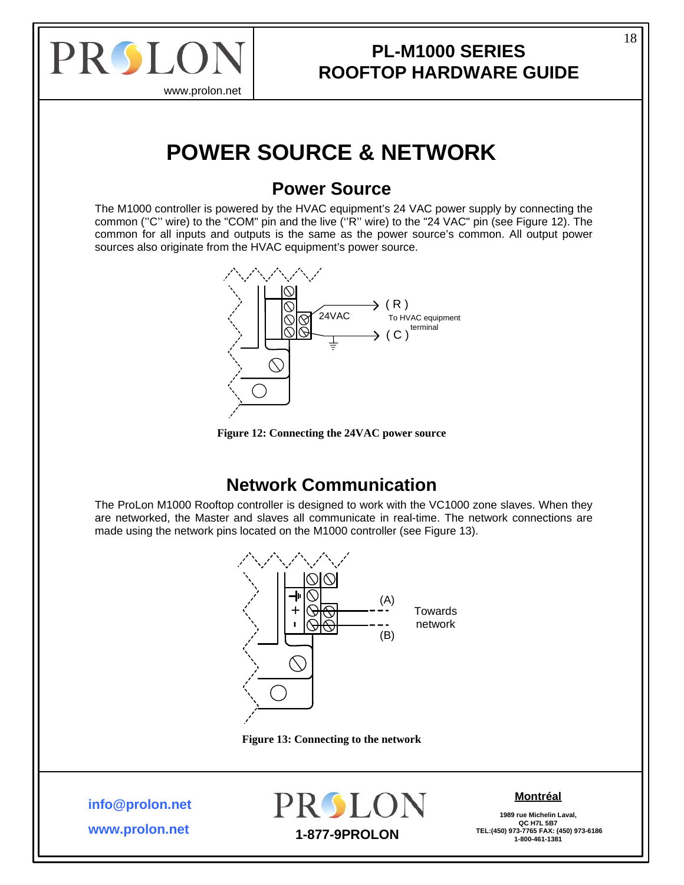<span id="page-17-0"></span>

## **PL-M1000 SERIES ROOFTOP HARDWARE GUIDE**

# **POWER SOURCE & NETWORK**

### **Power Source**

The M1000 controller is powered by the HVAC equipment's 24 VAC power supply by connecting the common (''C'' wire) to the "COM" pin and the live (''R'' wire) to the "24 VAC" pin (see [Figure 12\)](#page-17-1). The common for all inputs and outputs is the same as the power source's common. All output power sources also originate from the HVAC equipment's power source.





## **Network Communication**

<span id="page-17-1"></span>The ProLon M1000 Rooftop controller is designed to work with the VC1000 zone slaves. When they are networked, the Master and slaves all communicate in real-time. The network connections are made using the network pins located on the M1000 controller (see [Figure 13](#page-17-2)).



**Figure 13: Connecting to the network** 

<span id="page-17-2"></span>**info@prolon.net**

**www.prolon.net**



### **Montréal**

**1989 rue Michelin Laval, QC H7L 5B7**